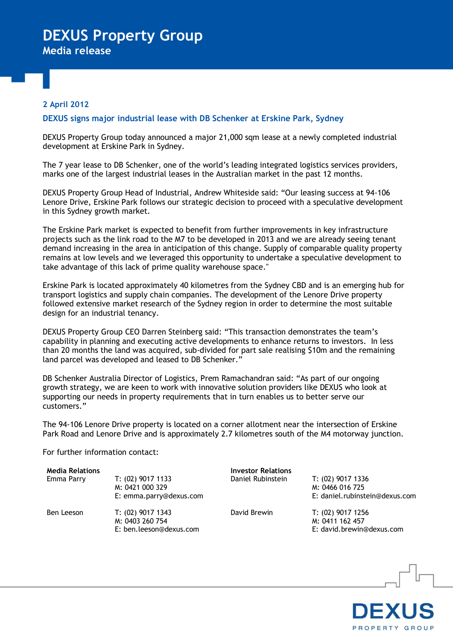# **DEXUS Property Group**

**Media release**

### **2 April 2012**

### **DEXUS signs major industrial lease with DB Schenker at Erskine Park, Sydney**

DEXUS Property Group today announced a major 21,000 sqm lease at a newly completed industrial development at Erskine Park in Sydney.

The 7 year lease to DB Schenker, one of the world's leading integrated logistics services providers, marks one of the largest industrial leases in the Australian market in the past 12 months.

DEXUS Property Group Head of Industrial, Andrew Whiteside said: "Our leasing success at 94-106 Lenore Drive, Erskine Park follows our strategic decision to proceed with a speculative development in this Sydney growth market.

The Erskine Park market is expected to benefit from further improvements in key infrastructure projects such as the link road to the M7 to be developed in 2013 and we are already seeing tenant demand increasing in the area in anticipation of this change. Supply of comparable quality property remains at low levels and we leveraged this opportunity to undertake a speculative development to take advantage of this lack of prime quality warehouse space."

Erskine Park is located approximately 40 kilometres from the Sydney CBD and is an emerging hub for transport logistics and supply chain companies. The development of the Lenore Drive property followed extensive market research of the Sydney region in order to determine the most suitable design for an industrial tenancy.

DEXUS Property Group CEO Darren Steinberg said: "This transaction demonstrates the team's capability in planning and executing active developments to enhance returns to investors. In less than 20 months the land was acquired, sub-divided for part sale realising \$10m and the remaining land parcel was developed and leased to DB Schenker."

DB Schenker Australia Director of Logistics, Prem Ramachandran said: "As part of our ongoing growth strategy, we are keen to work with innovative solution providers like DEXUS who look at supporting our needs in property requirements that in turn enables us to better serve our customers."

The 94-106 Lenore Drive property is located on a corner allotment near the intersection of Erskine Park Road and Lenore Drive and is approximately 2.7 kilometres south of the M4 motorway junction.

For further information contact:

| <b>Media Relations</b><br>Emma Parry | $T: (02)$ 9017 1133<br>M: 0421 000 329<br>E: emma.parry@dexus.com | <b>Investor Relations</b><br>Daniel Rubinstein | T: (02) 9017 1336<br>M: 0466 016 725<br>E: daniel.rubinstein@dexus.com |
|--------------------------------------|-------------------------------------------------------------------|------------------------------------------------|------------------------------------------------------------------------|
| Ben Leeson                           | T: (02) 9017 1343<br>M: 0403 260 754<br>E: ben.leeson@dexus.com   | David Brewin                                   | T: (02) 9017 1256<br>M: 0411 162 457<br>E: david.brewin@dexus.com      |